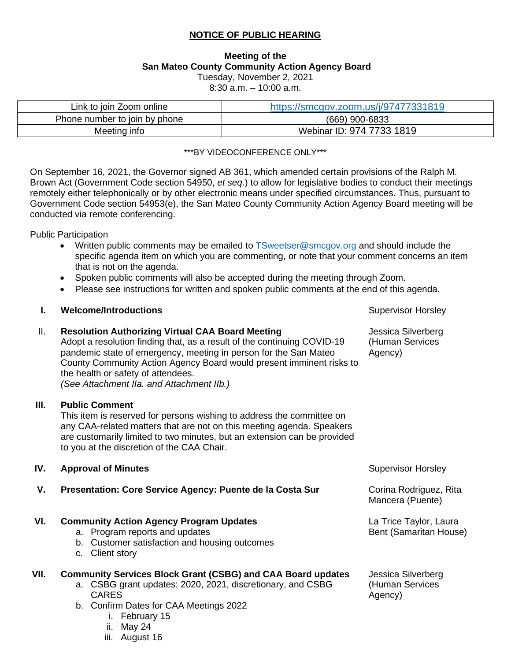# **NOTICE OF PUBLIC HEARING**

## **Meeting of the San Mateo County Community Action Agency Board**  Tuesday, November 2, 2021

8:30 a.m. – 10:00 a.m.

| Link to join Zoom online      | https://smcgov.zoom.us/j/97477331819 |  |
|-------------------------------|--------------------------------------|--|
| Phone number to join by phone | (669) 900-6833                       |  |
| Meeting info                  | Webinar ID: 974 7733 1819            |  |

#### \*\*\*BY VIDEOCONFERENCE ONLY\*\*\*

On September 16, 2021, the Governor signed AB 361, which amended certain provisions of the Ralph M. Brown Act (Government Code section 54950, *et seq*.) to allow for legislative bodies to conduct their meetings remotely either telephonically or by other electronic means under specified circumstances. Thus, pursuant to Government Code section 54953(e), the San Mateo County Community Action Agency Board meeting will be conducted via remote conferencing.

Public Participation

• Written public comments may be emailed to [TSweetser@smcgov.org](mailto:TSweetser@smcgov.org) and should include the specific agenda item on which you are commenting, or note that your comment concerns an item that is not on the agenda.

> Jessica Silverberg (Human Services

Agency)

- Spoken public comments will also be accepted during the meeting through Zoom.
- Please see instructions for written and spoken public comments at the end of this agenda.

### **I. Welcome/Introductions Supervisor Horsley Supervisor Horsley Supervisor Horsley**

### II. **Resolution Authorizing Virtual CAA Board Meeting**

iii. August 16

Adopt a resolution finding that, as a result of the continuing COVID-19 pandemic state of emergency, meeting in person for the San Mateo County Community Action Agency Board would present imminent risks to the health or safety of attendees. *(See Attachment IIa. and Attachment IIb.)* 

#### **III. Public Comment**

This item is reserved for persons wishing to address the committee on any CAA-related matters that are not on this meeting agenda. Speakers are customarily limited to two minutes, but an extension can be provided to you at the discretion of the CAA Chair.

| IV.  | <b>Approval of Minutes</b>                                                                                                                                                                                                 | <b>Supervisor Horsley</b>                        |
|------|----------------------------------------------------------------------------------------------------------------------------------------------------------------------------------------------------------------------------|--------------------------------------------------|
| V.   | Presentation: Core Service Agency: Puente de la Costa Sur                                                                                                                                                                  | Corina Rodriguez, Rita<br>Mancera (Puente)       |
| VI.  | <b>Community Action Agency Program Updates</b><br>a. Program reports and updates<br>b. Customer satisfaction and housing outcomes<br>Client story<br>C.                                                                    | La Trice Taylor, Laura<br>Bent (Samaritan House) |
| VII. | <b>Community Services Block Grant (CSBG) and CAA Board updates</b><br>a. CSBG grant updates: 2020, 2021, discretionary, and CSBG<br><b>CARES</b><br>b. Confirm Dates for CAA Meetings 2022<br>i. February 15<br>ii. May 24 | Jessica Silverberg<br>(Human Services<br>Agency) |